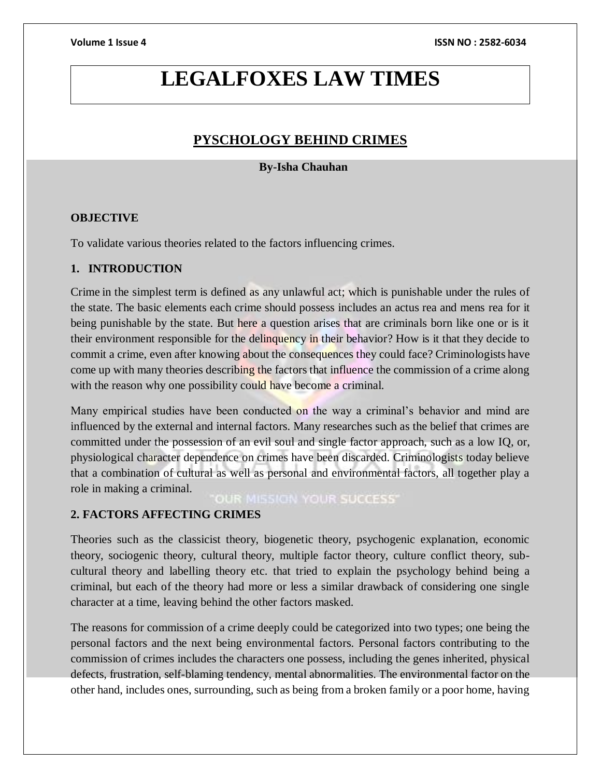## **LEGALFOXES LAW TIMES**

### **PYSCHOLOGY BEHIND CRIMES**

### **By-Isha Chauhan**

### **OBJECTIVE**

To validate various theories related to the factors influencing crimes.

### **1. INTRODUCTION**

Crime in the simplest term is defined as any unlawful act; which is punishable under the rules of the state. The basic elements each crime should possess includes an actus rea and mens rea for it being punishable by the state. But here a question arises that are criminals born like one or is it their environment responsible for the delinquency in their behavior? How is it that they decide to commit a crime, even after knowing about the consequences they could face? Criminologists have come up with many theories describing the factors that influence the commission of a crime along with the reason why one possibility could have become a criminal.

Many empirical studies have been conducted on the way a criminal's behavior and mind are influenced by the external and internal factors. Many researches such as the belief that crimes are committed under the possession of an evil soul and single factor approach, such as a low IQ, or, physiological character dependence on crimes have been discarded. Criminologists today believe that a combination of cultural as well as personal and environmental factors, all together play a role in making a criminal.

**OUR MISSION YOUR SUCCESS'** 

### **2. FACTORS AFFECTING CRIMES**

Theories such as the classicist theory, biogenetic theory, psychogenic explanation, economic theory, sociogenic theory, cultural theory, multiple factor theory, culture conflict theory, subcultural theory and labelling theory etc. that tried to explain the psychology behind being a criminal, but each of the theory had more or less a similar drawback of considering one single character at a time, leaving behind the other factors masked.

The reasons for commission of a crime deeply could be categorized into two types; one being the personal factors and the next being environmental factors. Personal factors contributing to the commission of crimes includes the characters one possess, including the genes inherited, physical defects, frustration, self-blaming tendency, mental abnormalities. The environmental factor on the other hand, includes ones, surrounding, such as being from a broken family or a poor home, having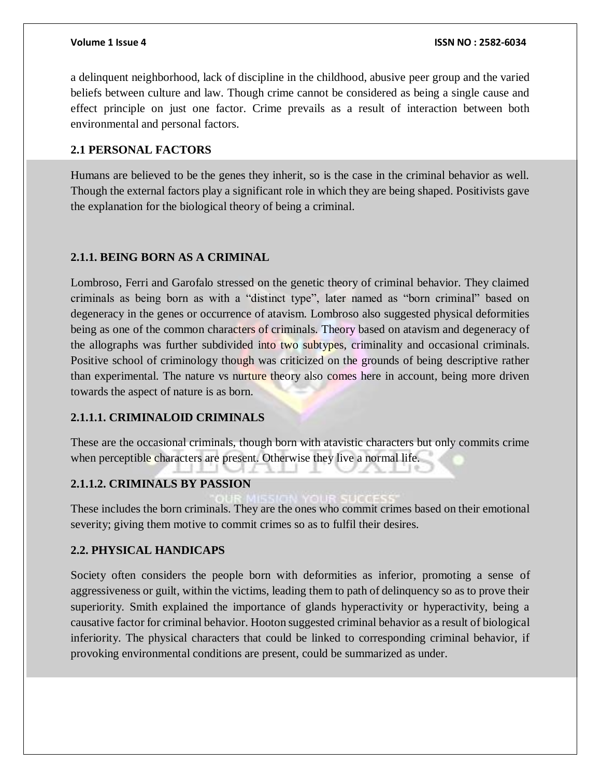a delinquent neighborhood, lack of discipline in the childhood, abusive peer group and the varied beliefs between culture and law. Though crime cannot be considered as being a single cause and effect principle on just one factor. Crime prevails as a result of interaction between both environmental and personal factors.

### **2.1 PERSONAL FACTORS**

Humans are believed to be the genes they inherit, so is the case in the criminal behavior as well. Though the external factors play a significant role in which they are being shaped. Positivists gave the explanation for the biological theory of being a criminal.

### **2.1.1. BEING BORN AS A CRIMINAL**

Lombroso, Ferri and Garofalo stressed on the genetic theory of criminal behavior. They claimed criminals as being born as with a "distinct type", later named as "born criminal" based on degeneracy in the genes or occurrence of atavism. Lombroso also suggested physical deformities being as one of the common characters of criminals. Theory based on atavism and degeneracy of the allographs was further subdivided into two subtypes, criminality and occasional criminals. Positive school of criminology though was criticized on the grounds of being descriptive rather than experimental. The nature vs nurture theory also comes here in account, being more driven towards the aspect of nature is as born.

### **2.1.1.1. CRIMINALOID CRIMINALS**

These are the occasional criminals, though born with atavistic characters but only commits crime when perceptible characters are present. Otherwise they live a normal life.

### **2.1.1.2. CRIMINALS BY PASSION**

These includes the born criminals. They are the ones who commit crimes based on their emotional severity; giving them motive to commit crimes so as to fulfil their desires.

### **2.2. PHYSICAL HANDICAPS**

Society often considers the people born with deformities as inferior, promoting a sense of aggressiveness or guilt, within the victims, leading them to path of delinquency so as to prove their superiority. Smith explained the importance of glands hyperactivity or hyperactivity, being a causative factor for criminal behavior. Hooton suggested criminal behavior as a result of biological inferiority. The physical characters that could be linked to corresponding criminal behavior, if provoking environmental conditions are present, could be summarized as under.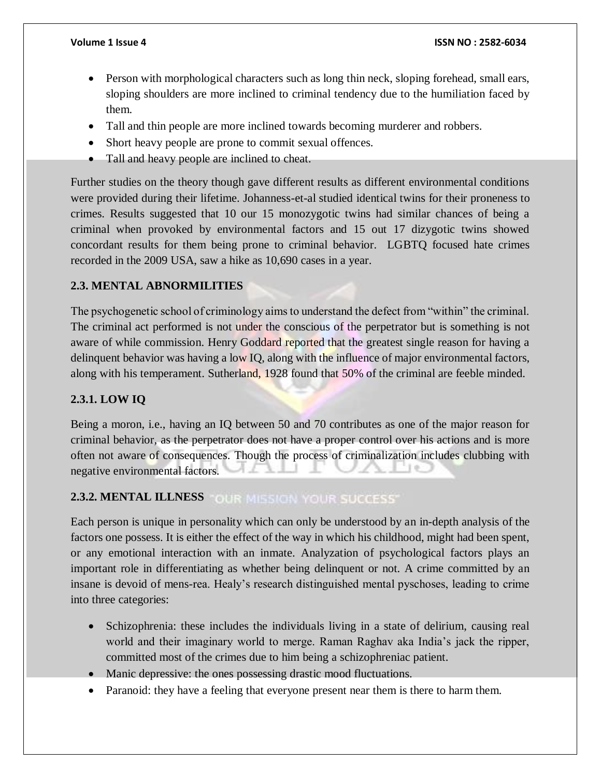- Person with morphological characters such as long thin neck, sloping forehead, small ears, sloping shoulders are more inclined to criminal tendency due to the humiliation faced by them.
- Tall and thin people are more inclined towards becoming murderer and robbers.
- Short heavy people are prone to commit sexual offences.
- Tall and heavy people are inclined to cheat.

Further studies on the theory though gave different results as different environmental conditions were provided during their lifetime. Johanness-et-al studied identical twins for their proneness to crimes. Results suggested that 10 our 15 monozygotic twins had similar chances of being a criminal when provoked by environmental factors and 15 out 17 dizygotic twins showed concordant results for them being prone to criminal behavior. LGBTQ focused hate crimes recorded in the 2009 USA, saw a hike as 10,690 cases in a year.

### **2.3. MENTAL ABNORMILITIES**

The psychogenetic school of criminology aims to understand the defect from "within" the criminal. The criminal act performed is not under the conscious of the perpetrator but is something is not aware of while commission. Henry Goddard reported that the greatest single reason for having a delinquent behavior was having a low IQ, along with the influence of major environmental factors, along with his temperament. Sutherland, 1928 found that 50% of the criminal are feeble minded.

### **2.3.1. LOW IQ**

Being a moron, i.e., having an IQ between 50 and 70 contributes as one of the major reason for criminal behavior, as the perpetrator does not have a proper control over his actions and is more often not aware of consequences. Though the process of criminalization includes clubbing with negative environmental factors.

### **2.3.2. MENTAL ILLNESS FOUR MISSION YOUR SUCCESS**

Each person is unique in personality which can only be understood by an in-depth analysis of the factors one possess. It is either the effect of the way in which his childhood, might had been spent, or any emotional interaction with an inmate. Analyzation of psychological factors plays an important role in differentiating as whether being delinquent or not. A crime committed by an insane is devoid of mens-rea. Healy's research distinguished mental pyschoses, leading to crime into three categories:

- Schizophrenia: these includes the individuals living in a state of delirium, causing real world and their imaginary world to merge. Raman Raghav aka India's jack the ripper, committed most of the crimes due to him being a schizophreniac patient.
- Manic depressive: the ones possessing drastic mood fluctuations.
- Paranoid: they have a feeling that everyone present near them is there to harm them.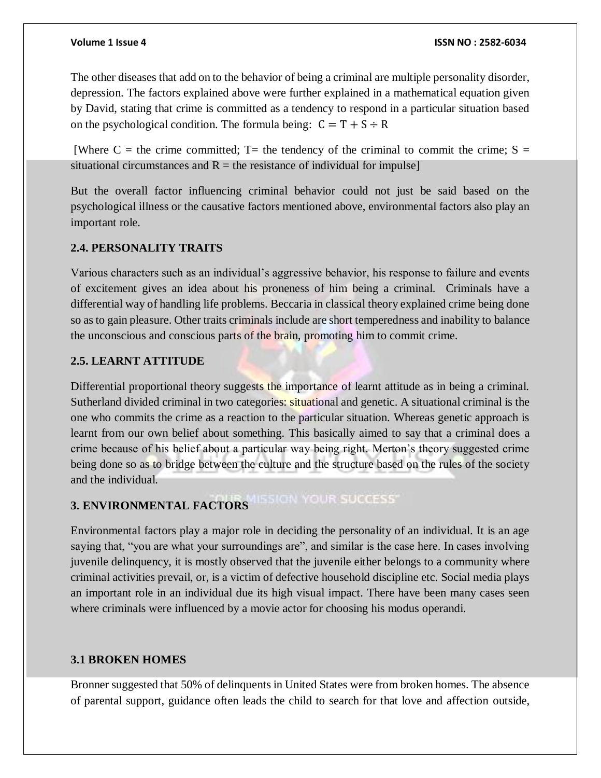The other diseases that add on to the behavior of being a criminal are multiple personality disorder, depression. The factors explained above were further explained in a mathematical equation given by David, stating that crime is committed as a tendency to respond in a particular situation based on the psychological condition. The formula being:  $C = T + S \div R$ 

[Where C = the crime committed; T= the tendency of the criminal to commit the crime;  $S =$ situational circumstances and  $R =$  the resistance of individual for impulse]

But the overall factor influencing criminal behavior could not just be said based on the psychological illness or the causative factors mentioned above, environmental factors also play an important role.

### **2.4. PERSONALITY TRAITS**

Various characters such as an individual's aggressive behavior, his response to failure and events of excitement gives an idea about his proneness of him being a criminal. Criminals have a differential way of handling life problems. Beccaria in classical theory explained crime being done so as to gain pleasure. Other traits criminals include are short temperedness and inability to balance the unconscious and conscious parts of the brain, promoting him to commit crime.

### **2.5. LEARNT ATTITUDE**

Differential proportional theory suggests the importance of learnt attitude as in being a criminal. Sutherland divided criminal in two categories: situational and genetic. A situational criminal is the one who commits the crime as a reaction to the particular situation. Whereas genetic approach is learnt from our own belief about something. This basically aimed to say that a criminal does a crime because of his belief about a particular way being right. Merton's theory suggested crime being done so as to bridge between the culture and the structure based on the rules of the society and the individual.

# **3. ENVIRONMENTAL FACTORS**

Environmental factors play a major role in deciding the personality of an individual. It is an age saying that, "you are what your surroundings are", and similar is the case here. In cases involving juvenile delinquency, it is mostly observed that the juvenile either belongs to a community where criminal activities prevail, or, is a victim of defective household discipline etc. Social media plays an important role in an individual due its high visual impact. There have been many cases seen where criminals were influenced by a movie actor for choosing his modus operandi.

### **3.1 BROKEN HOMES**

Bronner suggested that 50% of delinquents in United States were from broken homes. The absence of parental support, guidance often leads the child to search for that love and affection outside,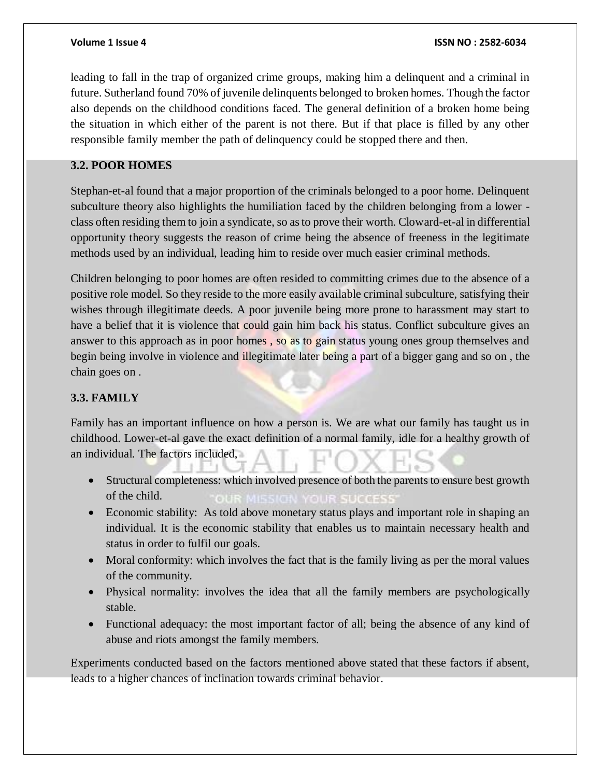leading to fall in the trap of organized crime groups, making him a delinquent and a criminal in future. Sutherland found 70% of juvenile delinquents belonged to broken homes. Though the factor also depends on the childhood conditions faced. The general definition of a broken home being the situation in which either of the parent is not there. But if that place is filled by any other responsible family member the path of delinquency could be stopped there and then.

### **3.2. POOR HOMES**

Stephan-et-al found that a major proportion of the criminals belonged to a poor home. Delinquent subculture theory also highlights the humiliation faced by the children belonging from a lower class often residing them to join a syndicate, so as to prove their worth. Cloward-et-al in differential opportunity theory suggests the reason of crime being the absence of freeness in the legitimate methods used by an individual, leading him to reside over much easier criminal methods.

Children belonging to poor homes are often resided to committing crimes due to the absence of a positive role model. So they reside to the more easily available criminal subculture, satisfying their wishes through illegitimate deeds. A poor juvenile being more prone to harassment may start to have a belief that it is violence that could gain him back his status. Conflict subculture gives an answer to this approach as in poor homes , so as to gain status young ones group themselves and begin being involve in violence and illegitimate later being a part of a bigger gang and so on , the chain goes on .

### **3.3. FAMILY**

Family has an important influence on how a person is. We are what our family has taught us in childhood. Lower-et-al gave the exact definition of a normal family, idle for a healthy growth of an individual. The factors included,

- Structural completeness: which involved presence of both the parents to ensure best growth of the child.
- Economic stability: As told above monetary status plays and important role in shaping an individual. It is the economic stability that enables us to maintain necessary health and status in order to fulfil our goals.
- Moral conformity: which involves the fact that is the family living as per the moral values of the community.
- Physical normality: involves the idea that all the family members are psychologically stable.
- Functional adequacy: the most important factor of all; being the absence of any kind of abuse and riots amongst the family members.

Experiments conducted based on the factors mentioned above stated that these factors if absent, leads to a higher chances of inclination towards criminal behavior.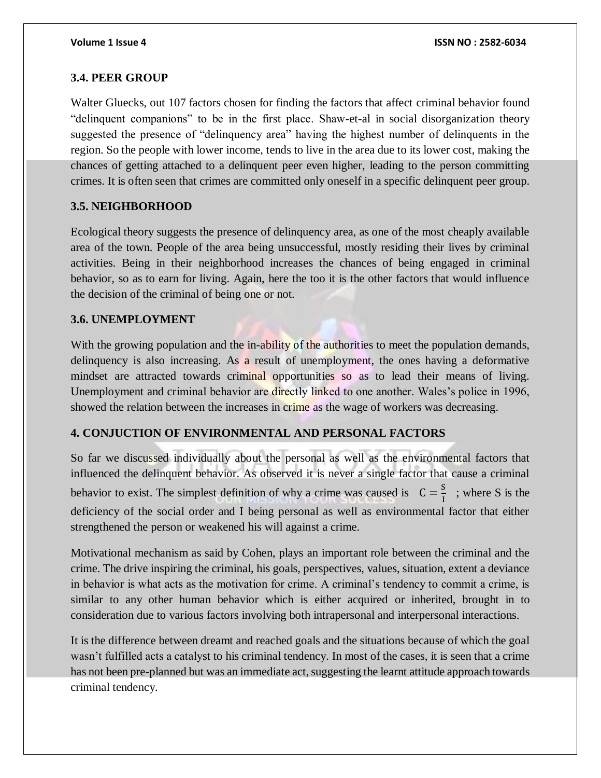### **3.4. PEER GROUP**

Walter Gluecks, out 107 factors chosen for finding the factors that affect criminal behavior found "delinquent companions" to be in the first place. Shaw-et-al in social disorganization theory suggested the presence of "delinquency area" having the highest number of delinquents in the region. So the people with lower income, tends to live in the area due to its lower cost, making the chances of getting attached to a delinquent peer even higher, leading to the person committing crimes. It is often seen that crimes are committed only oneself in a specific delinquent peer group.

### **3.5. NEIGHBORHOOD**

Ecological theory suggests the presence of delinquency area, as one of the most cheaply available area of the town. People of the area being unsuccessful, mostly residing their lives by criminal activities. Being in their neighborhood increases the chances of being engaged in criminal behavior, so as to earn for living. Again, here the too it is the other factors that would influence the decision of the criminal of being one or not.

### **3.6. UNEMPLOYMENT**

With the growing population and the in-ability of the authorities to meet the population demands, delinquency is also increasing. As a result of unemployment, the ones having a deformative mindset are attracted towards criminal opportunities so as to lead their means of living. Unemployment and criminal behavior are directly linked to one another. Wales's police in 1996, showed the relation between the increases in crime as the wage of workers was decreasing.

### **4. CONJUCTION OF ENVIRONMENTAL AND PERSONAL FACTORS**

So far we discussed individually about the personal as well as the environmental factors that influenced the delinquent behavior. As observed it is never a single factor that cause a criminal behavior to exist. The simplest definition of why a crime was caused is  $C = \frac{S}{I}$  $\frac{3}{1}$  ; where S is the deficiency of the social order and I being personal as well as environmental factor that either strengthened the person or weakened his will against a crime.

Motivational mechanism as said by Cohen, plays an important role between the criminal and the crime. The drive inspiring the criminal, his goals, perspectives, values, situation, extent a deviance in behavior is what acts as the motivation for crime. A criminal's tendency to commit a crime, is similar to any other human behavior which is either acquired or inherited, brought in to consideration due to various factors involving both intrapersonal and interpersonal interactions.

It is the difference between dreamt and reached goals and the situations because of which the goal wasn't fulfilled acts a catalyst to his criminal tendency. In most of the cases, it is seen that a crime has not been pre-planned but was an immediate act, suggesting the learnt attitude approach towards criminal tendency.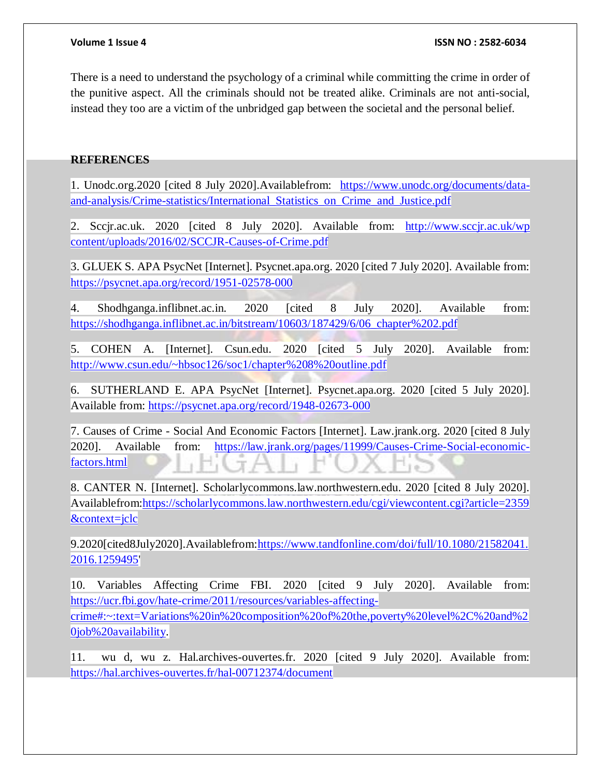There is a need to understand the psychology of a criminal while committing the crime in order of the punitive aspect. All the criminals should not be treated alike. Criminals are not anti-social, instead they too are a victim of the unbridged gap between the societal and the personal belief.

### **REFERENCES**

1. Unodc.org.2020 [cited 8 July 2020].Availablefrom: [https://www.unodc.org/documents/data](https://www.unodc.org/documents/data-and-analysis/Crime-statistics/International_Statistics_on_Crime_and_Justice.pdf)[and-analysis/Crime-statistics/International\\_Statistics\\_on\\_Crime\\_and\\_Justice.pdf](https://www.unodc.org/documents/data-and-analysis/Crime-statistics/International_Statistics_on_Crime_and_Justice.pdf)

2. Sccjr.ac.uk. 2020 [cited 8 July 2020]. Available from: http://www.sccjr.ac.uk/wp [content/uploads/2016/02/SCCJR-Causes-of-Crime.pdf](http://www.sccjr.ac.uk/wp%20content/uploads/2016/02/SCCJR-Causes-of-Crime.pdf)

3. GLUEK S. APA PsycNet [Internet]. Psycnet.apa.org. 2020 [cited 7 July 2020]. Available from: <https://psycnet.apa.org/record/1951-02578-000>

4. Shodhganga.inflibnet.ac.in. 2020 [cited 8 July 2020]. Available from: [https://shodhganga.inflibnet.ac.in/bitstream/10603/187429/6/06\\_chapter%202.pdf](https://shodhganga.inflibnet.ac.in/bitstream/10603/187429/6/06_chapter%202.pdf)

5. COHEN A. [Internet]. Csun.edu. 2020 [cited 5 July 2020]. Available from: <http://www.csun.edu/~hbsoc126/soc1/chapter%208%20outline.pdf>

6. SUTHERLAND E. APA PsycNet [Internet]. Psycnet.apa.org. 2020 [cited 5 July 2020]. Available from:<https://psycnet.apa.org/record/1948-02673-000>

7. Causes of Crime - Social And Economic Factors [Internet]. Law.jrank.org. 2020 [cited 8 July 2020]. Available from: [https://law.jrank.org/pages/11999/Causes-Crime-Social-economic](https://law.jrank.org/pages/11999/Causes-Crime-Social-economic-factors.html)[factors.html](https://law.jrank.org/pages/11999/Causes-Crime-Social-economic-factors.html)

8. CANTER N. [Internet]. Scholarlycommons.law.northwestern.edu. 2020 [cited 8 July 2020]. Availablefrom[:https://scholarlycommons.law.northwestern.edu/cgi/viewcontent.cgi?article=2359](https://scholarlycommons.law.northwestern.edu/cgi/viewcontent.cgi?article=2359&context=jclc) [&context=jclc](https://scholarlycommons.law.northwestern.edu/cgi/viewcontent.cgi?article=2359&context=jclc)

9.2020[cited8July2020].Availablefrom[:https://www.tandfonline.com/doi/full/10.1080/21582041.](https://www.tandfonline.com/doi/full/10.1080/21582041.2016.1259495) [2016.1259495'](https://www.tandfonline.com/doi/full/10.1080/21582041.2016.1259495)

10. Variables Affecting Crime FBI. 2020 [cited 9 July 2020]. Available from: [https://ucr.fbi.gov/hate-crime/2011/resources/variables-affecting-](https://ucr.fbi.gov/hate-crime/2011/resources/variables-affecting-crime#:~:text=Variations%20in%20composition%20of%20the,poverty%20level%2C%20and%20job%20availability)

[crime#:~:text=Variations%20in%20composition%20of%20the,poverty%20level%2C%20and%2](https://ucr.fbi.gov/hate-crime/2011/resources/variables-affecting-crime#:~:text=Variations%20in%20composition%20of%20the,poverty%20level%2C%20and%20job%20availability) [0job%20availability.](https://ucr.fbi.gov/hate-crime/2011/resources/variables-affecting-crime#:~:text=Variations%20in%20composition%20of%20the,poverty%20level%2C%20and%20job%20availability)

11. wu d, wu z. Hal.archives-ouvertes.fr. 2020 [cited 9 July 2020]. Available from: <https://hal.archives-ouvertes.fr/hal-00712374/document>